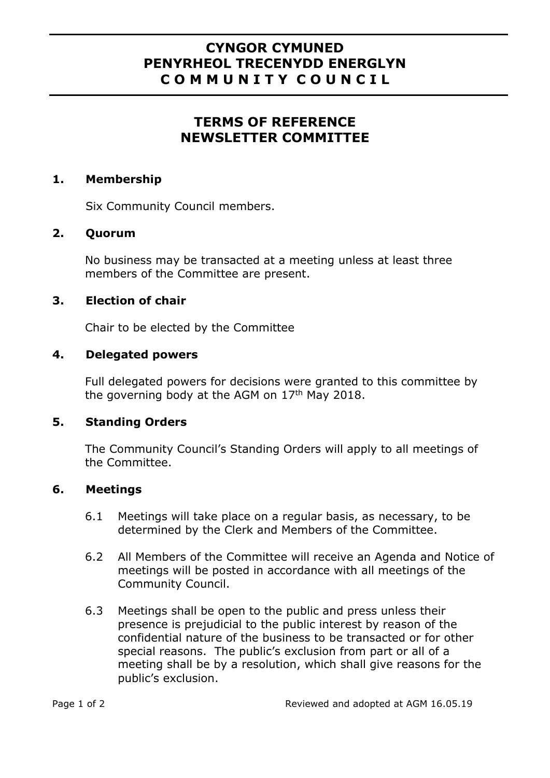# **CYNGOR CYMUNED PENYRHEOL TRECENYDD ENERGLYN C O M M U N I T Y C O U N C I L**

# **TERMS OF REFERENCE NEWSLETTER COMMITTEE**

#### **1. Membership**

Six Community Council members.

## **2. Quorum**

No business may be transacted at a meeting unless at least three members of the Committee are present.

## **3. Election of chair**

Chair to be elected by the Committee

## **4. Delegated powers**

Full delegated powers for decisions were granted to this committee by the governing body at the AGM on  $17<sup>th</sup>$  May 2018.

#### **5. Standing Orders**

The Community Council's Standing Orders will apply to all meetings of the Committee.

#### **6. Meetings**

- 6.1 Meetings will take place on a regular basis, as necessary, to be determined by the Clerk and Members of the Committee.
- 6.2 All Members of the Committee will receive an Agenda and Notice of meetings will be posted in accordance with all meetings of the Community Council.
- 6.3 Meetings shall be open to the public and press unless their presence is prejudicial to the public interest by reason of the confidential nature of the business to be transacted or for other special reasons. The public's exclusion from part or all of a meeting shall be by a resolution, which shall give reasons for the public's exclusion.